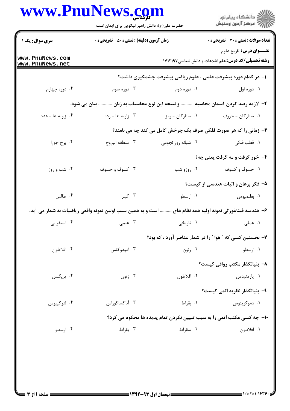|                                                              | www.PnuNews.com<br>حضرت علی(ع): دانش راهبر نیکویی برای ایمان است              |                    | الاد دانشگاه پيام نور<br>الاسم مرکز آزمون وسنجش                                                                                        |  |
|--------------------------------------------------------------|-------------------------------------------------------------------------------|--------------------|----------------------------------------------------------------------------------------------------------------------------------------|--|
| <b>سری سوال :</b> یک ۱<br>www.PnuNews.com<br>www.PnuNews.net | <b>زمان آزمون (دقیقه) : تستی : 50 ٪ تشریحی : 0</b>                            |                    | تعداد سوالات : تستى : 30 ٪ تشريحي : 0<br><b>عنـــوان درس:</b> تاریخ علوم<br><b>رشته تحصیلی/کد درس:</b> علم اطلاعات و دانش شناسی1۷۱۲۱۹۷ |  |
|                                                              |                                                                               |                    | ا- در کدام دوره پیشرفت علمی ، علوم ریاضی پیشرفت چشمگیری داشت؟                                                                          |  |
| ۰۴ دوره چهارم                                                | ۰۳ دوره سوم                                                                   | ۰۲ دوره دوم        | ۰۱ دوره اول                                                                                                                            |  |
|                                                              | ۲– لازمه رصد کردن آسمان محاسبه  و نتیجه این نوع محاسبات به زبان  بیان می شود. |                    |                                                                                                                                        |  |
| ۰۴ زاویه ها - عدد                                            | ۰۳ زاویه ها - رده                                                             | ۰۲ ستارگان - رمز   | ۰۱ ستارگان - حروف                                                                                                                      |  |
|                                                              |                                                                               |                    | ۳- زمانی را که هر صورت فلکی صرف یک چرخش کامل می کند چه می نامند؟                                                                       |  |
| ۰۴ برج جوزا                                                  | ٠٣ منطقه البروج                                                               | ۰۲ شبانه روز نجومی | ۰۱ قطب فلکی                                                                                                                            |  |
|                                                              |                                                                               |                    | ۴- خور گرفت و مه گرفت یعنی چه؟                                                                                                         |  |
| ۰۴ شب و روز                                                  | ۰۳ کسوف و خسوف                                                                | ۰۲ روزو شب         | ۰۱ خسوف و کسوف                                                                                                                         |  |
|                                                              |                                                                               |                    | ۵– فکر برهان و اثبات هندسی از کیست؟                                                                                                    |  |
| ۰۴ طالس                                                      | ۰۳ کپلر                                                                       | ۰۲ ارسطو           | ٠١. بطلميوس                                                                                                                            |  |
|                                                              | است و به همین سبب اولین نمونه واقعی ریاضیات به شمار می آید.                   |                    | ۶– هندسه فیثاغورثی نمونه اولیه همه نظام های                                                                                            |  |
| ۰۴ استقرایی                                                  | ۰۳ علمی                                                                       |                    | ۰۱ عملی مسلمی است.<br>است که از توسعی است که تاریخی                                                                                    |  |
|                                                              |                                                                               |                    | ۷- نخستین کسی که " هوا " را در شمار عناصر آورد ، که بود؟                                                                               |  |
| ۰۴ افلاطون                                                   | ۰۳ امپدوکلس                                                                   | ۰۲ زنون            | ۰۱ ارسطو                                                                                                                               |  |
|                                                              |                                                                               |                    | ۸– بنیانگذار مکتب رواقی کیست؟                                                                                                          |  |
| ۰۴ پريکلس                                                    | ۰۳ زنون                                                                       | ۰۲ افلاطون         | ۰۱ پارمنیدس                                                                                                                            |  |
|                                                              |                                                                               |                    | ۹- بنیانگذار نظریه اتمی کیست؟                                                                                                          |  |
| ۰۴ لئوكيپوس                                                  | ۰۳ آناگساگوراس                                                                | ۰۲ بقراط           | ۰۱ دموکریتوس                                                                                                                           |  |
|                                                              |                                                                               |                    | ۱۰- چه کسی مکتب اتمی را به سبب تبیین نکردن تمام پدیده ها محکوم می کرد؟                                                                 |  |
| ۰۴ ارسطو                                                     | ۰۳ بقراط                                                                      | ۰۲ سقراط           | ٠١. افلاطون                                                                                                                            |  |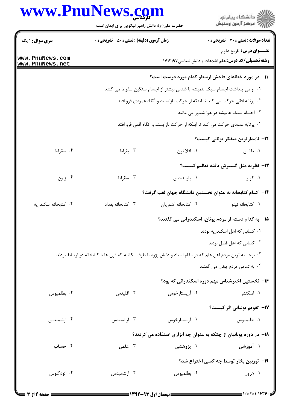## **WWW.PnIINews.com**

|                                    | حضرت علی(ع): دانش راهبر نیکویی برای ایمان است                              |                                                                                                              | ڏ دانشڪاه پيام نور<br>7- مرڪز آزمون وسنڊش                  |  |  |
|------------------------------------|----------------------------------------------------------------------------|--------------------------------------------------------------------------------------------------------------|------------------------------------------------------------|--|--|
| <b>سری سوال : ۱ یک</b>             | <b>زمان آزمون (دقیقه) : تستی : 50 ٪ تشریحی : 0</b>                         |                                                                                                              | <b>تعداد سوالات : تستی : 30 ٪ تشریحی : 0</b>               |  |  |
|                                    |                                                                            |                                                                                                              | <b>عنـــوان درس:</b> تاريخ علوم                            |  |  |
| www.PnuNews.com<br>www.PnuNews.net |                                                                            |                                                                                                              | <b>رشته تحصیلی/کد درس:</b> علم اطلاعات و دانش شناسی1۷۱۲۱۹۷ |  |  |
|                                    |                                                                            | 1۱– در مورد خطاهای فاحش ارسطو کدام مورد درست است؟                                                            |                                                            |  |  |
|                                    | ۰۱ او می پنداشت اجسام سبک همیشه با شتابی بیشتر از اجسام سنگین سقوط می کنند |                                                                                                              |                                                            |  |  |
|                                    |                                                                            | ۰۲ پرتابه افقی حرکت می کند تا اینکه از حرکت بازایستد و آنگاه عمودی فرو افتد                                  |                                                            |  |  |
|                                    |                                                                            |                                                                                                              | ۰۳ اجسام سبک همیشه در هوا شناور می مانند                   |  |  |
|                                    |                                                                            | ۰۴ پرتابه عمودی حرکت می کند تا اینکه از حرکت بازایستد و آنگاه افقی فرو افتد                                  |                                                            |  |  |
|                                    |                                                                            |                                                                                                              | 1۲– نامدارترین متفکر یونانی کیست؟                          |  |  |
| ۰۴ سقراط                           | ۰۳ بقراط                                                                   | ۰۲ افلاطون                                                                                                   | ۰۱ طالس                                                    |  |  |
|                                    |                                                                            |                                                                                                              | 1۳- نظریه مثل گسترش یافته تعالیم کیست؟                     |  |  |
| ۰۴ زنون                            | ۰۳ سقراط                                                                   | ۰۲ پارمنیدس                                                                                                  | ۰۱ کپلر                                                    |  |  |
|                                    |                                                                            | °ا−   کدام کتابخانه به عنوان نخستین دانشگاه جهان لقب گرفت؟                                                   |                                                            |  |  |
| ۰۴ كتابخانه اسكندريه               | ۰۳ کتابخانه بغداد                                                          | ٠٢ كتابخانه أشوريان                                                                                          | ۰۱ كتابخانه نينوا                                          |  |  |
|                                    |                                                                            | ۱۵– به کدام دسته از مردم یونان، اسکندرانی می گفتند؟                                                          |                                                            |  |  |
|                                    |                                                                            |                                                                                                              | ۰۱ کسانی که اهل اسکندریه بودند                             |  |  |
|                                    |                                                                            |                                                                                                              | ۰۲ کسانی که اهل فضل بودند                                  |  |  |
|                                    |                                                                            | ۰۳ برجسته ترین مردم اهل علم که در مقام استاد و دانش پژوه یا طرف مکاتبه که قرن ها با کتابخانه در ارتباط بودند |                                                            |  |  |
|                                    |                                                                            |                                                                                                              | ۰۴ به تمامی مردم یونان می گفتند                            |  |  |
|                                    |                                                                            |                                                                                                              | ۱۶– نخستین اخترشناس مهم دوره اسکندرانی که بود؟             |  |  |
| ۰۴ بطلميوس                         | ۰۳ اقلیدس                                                                  | ۰۲ آریستارخوس                                                                                                | ۱. اسکندر                                                  |  |  |
|                                    |                                                                            |                                                                                                              | 17- تقویم یولیانی اثر کیست؟                                |  |  |
| ۰۴ ارشمیدس                         | ۰۳ اراتستنس                                                                | ۰۲ آریستارخوس                                                                                                | ٠١. بطلميوس                                                |  |  |
|                                    |                                                                            | 18- در دوره یونانیان از چتکه به عنوان چه ابزاری استفاده می کردند؟                                            |                                                            |  |  |
| ۰۴ حساب                            | ۰۳ علمی                                                                    | ۰۲ پژوهشی                                                                                                    | ۱. آموزشی                                                  |  |  |
|                                    |                                                                            |                                                                                                              | <b>۱۹</b> - توربین بخار توسط چه کسی اختراع شد؟             |  |  |
| ۰۴ ائودکلوس                        | ۰۳ ارشمیدس                                                                 | ٠٢ بطلميوس                                                                                                   | ۰۱ هرون                                                    |  |  |
|                                    |                                                                            |                                                                                                              |                                                            |  |  |